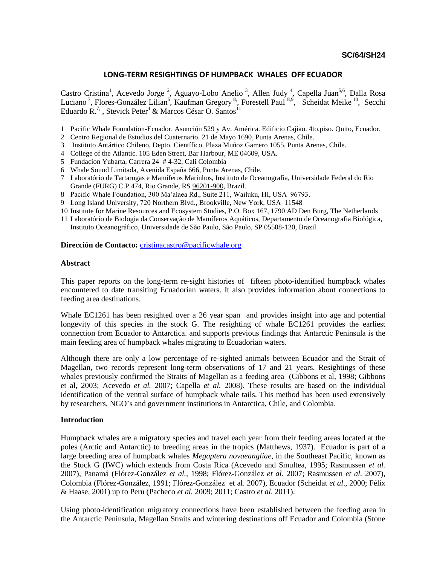## **LONG-TERM RESIGHTINGS OF HUMPBACK WHALES OFF ECUADOR**

Castro Cristina<sup>1</sup>, Acevedo Jorge<sup>2</sup>, Aguayo-Lobo Anelio<sup>3</sup>, Allen Judy<sup>4</sup>, Capella Juan<sup>5,6</sup>, Dalla Rosa Luciano<sup>7</sup>, Flores-González Lilian<sup>5</sup>, Kaufman Gregory<sup>8</sup>, Forestell Paul<sup>8,9</sup>, Scheidat Meike<sup>10</sup>, Secchi Eduardo R.<sup>7,</sup>, Stevick Peter<sup>4</sup> & Marcos César O. Santos<sup>11</sup>

- 1 Pacific Whale Foundation-Ecuador. Asunción 529 y Av. América. Edificio Cajiao. 4to.piso. Quito, Ecuador.
- 2 Centro Regional de Estudios del Cuaternario. 21 de Mayo 1690, Punta Arenas, Chile.
- 3 Instituto Antártico Chileno, Depto. Científico. Plaza Muñoz Gamero 1055, Punta Arenas, Chile.
- 4 College of the Atlantic. 105 Eden Street, Bar Harbour, ME 04609, USA.
- 5 Fundacion Yubarta, Carrera 24 # 4-32, Cali Colombia
- 6 Whale Sound Limitada, Avenida España 666, Punta Arenas, Chile.
- 7 Laboratório de Tartarugas e Mamíferos Marinhos, Instituto de Oceanografia, Universidade Federal do Rio Grande (FURG) C.P.474, Rio Grande, RS [96201-900,](tel:96201-900) Brazil.
- 8 Pacific Whale Foundation, 300 Ma'alaea Rd., Suite 211, Wailuku, HI, USA 96793.
- 9 Long Island University, 720 Northern Blvd., Brookville, New York, USA 11548
- 10 Institute for Marine Resources and Ecosystem Studies, P.O. Box 167, 1790 AD Den Burg, The Netherlands
- 11 Laboratório de Biologia da Conservação de Mamíferos Aquáticos, Departamento de Oceanografia Biológica, Instituto Oceanográfico, Universidade de São Paulo, São Paulo, SP 05508-120, Brazil

#### **Dirección de Contacto:** [cristinacastro@pacificwhale.org](mailto:cristinacastro@pacificwhale.org)

#### **Abstract**

This paper reports on the long-term re-sight histories of fifteen photo-identified humpback whales encountered to date transiting Ecuadorian waters. It also provides information about connections to feeding area destinations.

Whale EC1261 has been resighted over a 26 year span and provides insight into age and potential longevity of this species in the stock G. The resighting of whale EC1261 provides the earliest connection from Ecuador to Antarctica. and supports previous findings that Antarctic Peninsula is the main feeding area of humpback whales migrating to Ecuadorian waters.

Although there are only a low percentage of re-sighted animals between Ecuador and the Strait of Magellan, two records represent long-term observations of 17 and 21 years. Resightings of these whales previously confirmed the Straits of Magellan as a feeding area (Gibbons et al, 1998; Gibbons et al, 2003; Acevedo *et al.* 2007; Capella *et al.* 2008). These results are based on the individual identification of the ventral surface of humpback whale tails. This method has been used extensively by researchers, NGO's and government institutions in Antarctica, Chile, and Colombia.

### **Introduction**

Humpback whales are a migratory species and travel each year from their feeding areas located at the poles (Arctic and Antarctic) to breeding areas in the tropics (Matthews, 1937). Ecuador is part of a large breeding area of humpback whales *Megaptera novaeangliae*, in the Southeast Pacific, known as the Stock G (IWC) which extends from Costa Rica (Acevedo and Smultea, 1995; Rasmussen *et al.*  2007), Panamá (Flórez-González *et al.*, 1998; Flórez-González *et al*. 2007; Rasmussen *et al.* 2007), Colombia (Flórez-González, 1991; Flórez-González et al. 2007), Ecuador (Scheidat *et al*., 2000; Félix & Haase, 2001) up to Peru (Pacheco *et al.* 2009; 2011; Castro *et al*. 2011).

Using photo-identification migratory connections have been established between the feeding area in the Antarctic Peninsula, Magellan Straits and wintering destinations off Ecuador and Colombia (Stone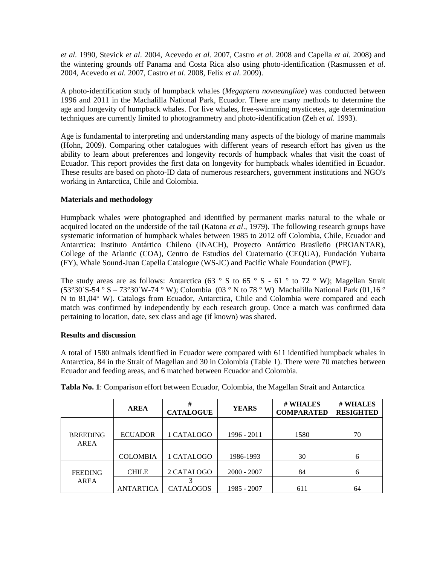*et al.* 1990, Stevick *et al*. 2004, Acevedo *et al.* 2007, Castro *et al.* 2008 and Capella *et al.* 2008) and the wintering grounds off Panama and Costa Rica also using photo-identification (Rasmussen *et al*. 2004, Acevedo *et al.* 2007, Castro *et al*. 2008, Felix *et al*. 2009).

A photo-identification study of humpback whales (*Megaptera novaeangliae*) was conducted between 1996 and 2011 in the Machalilla National Park, Ecuador. There are many methods to determine the age and longevity of humpback whales. For live whales, free-swimming mysticetes, age determination techniques are currently limited to photogrammetry and photo-identification (Zeh *et al.* 1993).

Age is fundamental to interpreting and understanding many aspects of the biology of marine mammals (Hohn, 2009). Comparing other catalogues with different years of research effort has given us the ability to learn about preferences and longevity records of humpback whales that visit the coast of Ecuador. This report provides the first data on longevity for humpback whales identified in Ecuador. These results are based on photo-ID data of numerous researchers, government institutions and NGO's working in Antarctica, Chile and Colombia.

## **Materials and methodology**

Humpback whales were photographed and identified by permanent marks natural to the whale or acquired located on the underside of the tail (Katona *et al*., 1979). The following research groups have systematic information of humpback whales between 1985 to 2012 off Colombia, Chile, Ecuador and Antarctica: Instituto Antártico Chileno (INACH), Proyecto Antártico Brasileño (PROANTAR), College of the Atlantic (COA), Centro de Estudios del Cuaternario (CEQUA), Fundación Yubarta (FY), Whale Sound-Juan Capella Catalogue (WS-JC) and Pacific Whale Foundation (PWF).

The study areas are as follows: Antarctica (63  $\degree$  S to 65  $\degree$  S - 61  $\degree$  to 72  $\degree$  W); Magellan Strait (53°30´S-54 ° S – 73°30´W-74 ° W); Colombia (03 ° N to 78 ° W) Machalilla National Park (01,16 ° N to 81,04° W). Catalogs from Ecuador, Antarctica, Chile and Colombia were compared and each match was confirmed by independently by each research group. Once a match was confirmed data pertaining to location, date, sex class and age (if known) was shared.

## **Results and discussion**

A total of 1580 animals identified in Ecuador were compared with 611 identified humpback whales in Antarctica, 84 in the Strait of Magellan and 30 in Colombia (Table 1). There were 70 matches between Ecuador and feeding areas, and 6 matched between Ecuador and Colombia.

|                 | <b>AREA</b>      | #<br><b>CATALOGUE</b> | <b>YEARS</b>  | # WHALES<br><b>COMPARATED</b> | # WHALES<br><b>RESIGHTED</b> |  |
|-----------------|------------------|-----------------------|---------------|-------------------------------|------------------------------|--|
| <b>BREEDING</b> | <b>ECUADOR</b>   | 1 CATALOGO            | 1996 - 2011   | 1580                          | 70                           |  |
| <b>AREA</b>     | <b>COLOMBIA</b>  | 1 CATALOGO            | 1986-1993     | 30                            | 6                            |  |
| <b>FEEDING</b>  | <b>CHILE</b>     | 2 CATALOGO            | $2000 - 2007$ | 84                            | 6                            |  |
| <b>AREA</b>     | <b>ANTARTICA</b> | <b>CATALOGOS</b>      | 1985 - 2007   | 611                           | 64                           |  |

**Tabla No. 1**: Comparison effort between Ecuador, Colombia, the Magellan Strait and Antarctica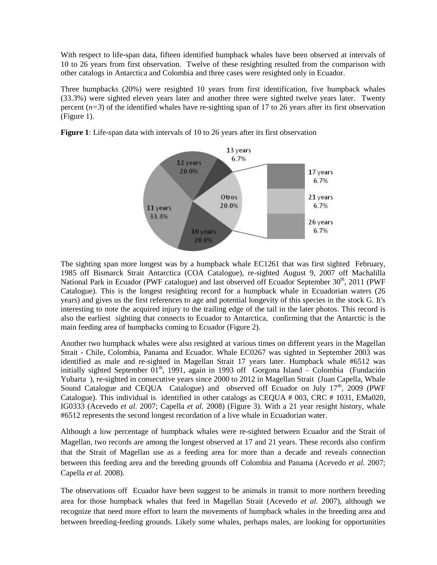With respect to life-span data, fifteen identified humpback whales have been observed at intervals of 10 to 26 years from first observation. Twelve of these resighting resulted from the comparison with other catalogs in Antarctica and Colombia and three cases were resighted only in Ecuador.

Three humpbacks (20%) were resighted 10 years from first identification, five humpback whales (33.3%) were sighted eleven years later and another three were sighted twelve years later. Twenty percent  $(n=3)$  of the identified whales have re-sighting span of 17 to 26 years after its first observation (Figure 1).



**Figure 1**: Life-span data with intervals of 10 to 26 years after its first observation

The sighting span more longest was by a humpback whale EC1261 that was first sighted February, 1985 off Bismarck Strait Antarctica (COA Catalogue), re-sighted August 9, 2007 off Machalilla National Park in Ecuador (PWF catalogue) and last observed off Ecuador September 30<sup>th</sup>, 2011 (PWF Catalogue). This is the longest resighting record for a humpback whale in Ecuadorian waters (26 years) and gives us the first references to age and potential longevity of this species in the stock G. It's interesting to note the acquired injury to the trailing edge of the tail in the later photos. This record is also the earliest sighting that connects to Ecuador to Antarctica, confirming that the Antarctic is the main feeding area of humpbacks coming to Ecuador (Figure 2).

Another two humpback whales were also resighted at various times on different years in the Magellan Strait - Chile, Colombia, Panama and Ecuador. Whale EC0267 was sighted in September 2003 was identified as male and re-sighted in Magellan Strait 17 years later. Humpback whale #6512 was initially sighted September  $01<sup>th</sup>$ , 1991, again in 1993 off Gorgona Island – Colombia (Fundación Yubarta ), re-sighted in consecutive years since 2000 to 2012 in Magellan Strait (Juan Capella, Whale Sound Catalogue and CEQUA Catalogue) and observed off Ecuador on July  $17<sup>th</sup>$ , 2009 (PWF Catalogue). This individual is identified in other catalogs as CEQUA # 003, CRC # 1031, EMa020, IG0333 (Acevedo *et al.* 2007; Capella *et al.* 2008) (Figure 3). With a 21 year resight history, whale #6512 represents the second longest recordation of a live whale in Ecuadorian water.

Although a low percentage of humpback whales were re-sighted between Ecuador and the Strait of Magellan, two records are among the longest observed at 17 and 21 years. These records also confirm that the Strait of Magellan use as a feeding area for more than a decade and reveals connection between this feeding area and the breeding grounds off Colombia and Panama (Acevedo *et al.* 2007; Capella *et al.* 2008).

The observations off Ecuador have been suggest to be animals in transit to more northern breeding area for those humpback whales that feed in Magellan Strait (Acevedo *et al.* 2007), although we recognize that need more effort to learn the movements of humpback whales in the breeding area and between breeding-feeding grounds. Likely some whales, perhaps males, are looking for opportunities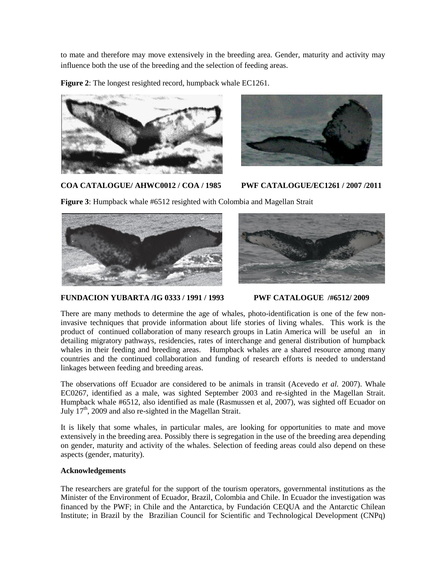to mate and therefore may move extensively in the breeding area. Gender, maturity and activity may influence both the use of the breeding and the selection of feeding areas.

**Figure 2**: The longest resighted record, humpback whale EC1261.





**COA CATALOGUE/ AHWC0012 / COA / 1985 PWF CATALOGUE/EC1261 / 2007 /2011**

**Figure 3**: Humpback whale #6512 resighted with Colombia and Magellan Strait





**FUNDACION YUBARTA /IG 0333 / 1991 / 1993 PWF CATALOGUE /#6512/ 2009**

There are many methods to determine the age of whales, photo-identification is one of the few noninvasive techniques that provide information about life stories of living whales. This work is the product of continued collaboration of many research groups in Latin America will be useful an in detailing migratory pathways, residencies, rates of interchange and general distribution of humpback whales in their feeding and breeding areas. Humpback whales are a shared resource among many countries and the continued collaboration and funding of research efforts is needed to understand linkages between feeding and breeding areas.

The observations off Ecuador are considered to be animals in transit (Acevedo *et al.* 2007). Whale EC0267, identified as a male, was sighted September 2003 and re-sighted in the Magellan Strait. Humpback whale #6512, also identified as male (Rasmussen et al, 2007), was sighted off Ecuador on July 17th, 2009 and also re-sighted in the Magellan Strait.

It is likely that some whales, in particular males, are looking for opportunities to mate and move extensively in the breeding area. Possibly there is segregation in the use of the breeding area depending on gender, maturity and activity of the whales. Selection of feeding areas could also depend on these aspects (gender, maturity).

# **Acknowledgements**

The researchers are grateful for the support of the tourism operators, governmental institutions as the Minister of the Environment of Ecuador, Brazil, Colombia and Chile. In Ecuador the investigation was financed by the PWF; in Chile and the Antarctica, by Fundación CEQUA and the Antarctic Chilean Institute; in Brazil by the Brazilian Council for Scientific and Technological Development (CNPq)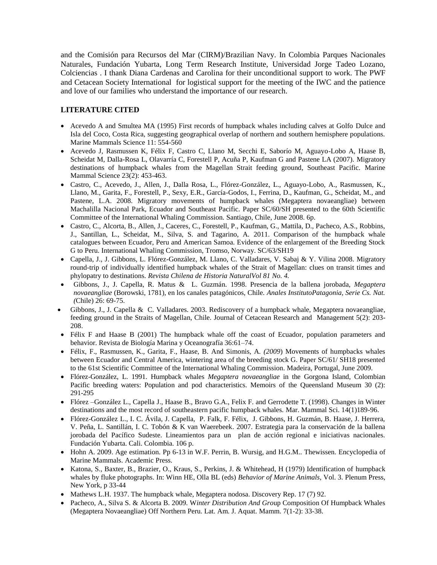and the Comisión para Recursos del Mar (CIRM)/Brazilian Navy. In Colombia Parques Nacionales Naturales, Fundación Yubarta, Long Term Research Institute, Universidad Jorge Tadeo Lozano, Colciencias . I thank Diana Cardenas and Carolina for their unconditional support to work. The PWF and Cetacean Society International for logistical support for the meeting of the IWC and the patience and love of our families who understand the importance of our research.

# **LITERATURE CITED**

- Acevedo A and Smultea MA (1995) First records of humpback whales including calves at Golfo Dulce and Isla del Coco, Costa Rica, suggesting geographical overlap of northern and southern hemisphere populations. Marine Mammals Science 11: 554-560
- Acevedo J, Rasmussen K, Félix F, Castro C, Llano M, Secchi E, Saborío M, Aguayo-Lobo A, Haase B, Scheidat M, Dalla-Rosa L, Olavarría C, Forestell P, Acuña P, Kaufman G and Pastene LA (2007). Migratory destinations of humpback whales from the Magellan Strait feeding ground, Southeast Pacific. Marine Mammal Science 23(2): 453-463.
- Castro, C., Acevedo, J., Allen, J., Dalla Rosa, L., Flórez-González, L., Aguayo-Lobo, A., Rasmussen, K., Llano, M., Garita, F., Forestell, P., Sexy, E.R., García-Godos, I., Ferrina, D., Kaufman, G., Scheidat, M., and Pastene, L.A. 2008. Migratory movements of humpback whales (Megaptera novaeangliae) between Machalilla Nacional Park, Ecuador and Southeast Pacific. Paper SC/60/SH presented to the 60th Scientific Committee of the International Whaling Commission. Santiago, Chile, June 2008. 6p.
- Castro, C., Alcorta, B., Allen, J., Caceres, C., Forestell, P., Kaufman, G., Mattila, D., Pacheco, A.S., Robbins, J., Santillan, L., Scheidat, M., Silva, S. and Tagarino, A. 2011. Comparison of the humpback whale catalogues between Ecuador, Peru and American Samoa. Evidence of the enlargement of the Breeding Stock G to Peru. International Whaling Commission, Tromso, Norway. SC/63/SH19
- Capella, J., J. Gibbons, L. Flórez-González, M. Llano, C. Valladares, V. Sabaj & Y. Vilina 2008. Migratory round-trip of individually identified humpback whales of the Strait of Magellan: clues on transit times and phylopatry to destinations. *Revista Chilena de Historia NaturalVol 81 No. 4.*
- Gibbons, J., J. Capella, R. Matus & L. Guzmán. 1998. Presencia de la ballena jorobada, *Megaptera novaeangliae* (Borowski, 1781), en los canales patagónicos, Chile. *Anales InstitutoPatagonia, Serie Cs. Nat. (*Chile) 26: 69-75.
- Gibbons, J., J. Capella & C. Valladares. 2003. Rediscovery of a humpback whale, Megaptera novaeangliae, feeding ground in the Straits of Magellan, Chile. Journal of Cetacean Research and Management 5(2): 203- 208.
- Félix F and Haase B (2001) The humpback whale off the coast of Ecuador, population parameters and behavior. Revista de Biología Marina y Oceanografía 36:61–74.
- Félix, F., Rasmussen, K., Garita, F., Haase, B. And Simonis, A*. (2009*) Movements of humpbacks whales between Ecuador and Central America, wintering area of the breeding stock G. Paper SC/61/ SH18 presented to the 61st Scientific Committee of the International Whaling Commission. Madeira, Portugal, June 2009.
- Flórez-González, L. 1991. Humpback whales *Megaptera novaeangliae* in the Gorgona Island, Colombian Pacific breeding waters: Population and pod characteristics. Memoirs of the Queensland Museum 30 (2): 291-295
- Flórez –González L., Capella J., Haase B., Bravo G.A., Felix F. and Gerrodette T. (1998). Changes in Winter destinations and the most record of southeastern pacific humpback whales. Mar. Mammal Sci. 14(1)189-96.
- Flórez-González L., I. C. Ávila, J. Capella, P. Falk, F. Félix, J. Gibbons, H. Guzmán, B. Haase, J. Herrera, V. Peña, L. Santillán, I. C. Tobón & K van Waerebeek. 2007. Estrategia para la conservación de la ballena jorobada del Pacífico Sudeste. Lineamientos para un plan de acción regional e iniciativas nacionales. Fundación Yubarta. Cali. Colombia. 106 p.
- Hohn A. 2009. Age estimation. Pp 6-13 in W.F. Perrin, B. Wursig, and H.G.M.. Thewissen. Encyclopedia of Marine Mammals. Academic Press.
- Katona, S., Baxter, B., Brazier, O., Kraus, S., Perkins, J. & Whitehead, H (1979) Identification of humpback whales by fluke photographs. In: Winn HE, Olla BL (eds) *Behavior of Marine Animals*, Vol. 3. Plenum Press, New York, p 33-44
- Mathews L.H. 1937. The humpback whale, Megaptera nodosa. Discovery Rep. 17 (7) 92.
- Pacheco, A., Silva S. & Alcorta B. 2009. W*inter Distribution And Gro*up Composition Of Humpback Whales (Megaptera Novaeangliae) Off Northern Peru. Lat. Am. J. Aquat. Mamm. 7(1-2): 33-38.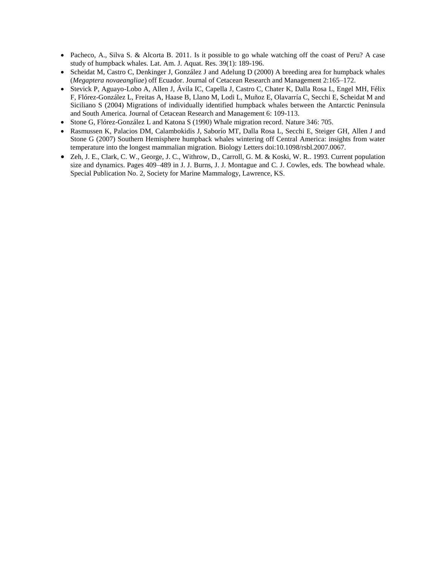- Pacheco, A., Silva S. & Alcorta B. 2011. Is it possible to go whale watching off the coast of Peru? A case study of humpback whales. Lat. Am. J. Aquat. Res. 39(1): 189-196.
- Scheidat M, Castro C, Denkinger J, González J and Adelung D (2000) A breeding area for humpback whales (*Megaptera novaeangliae*) off Ecuador. Journal of Cetacean Research and Management 2:165–172.
- Stevick P, Aguayo-Lobo A, Allen J, Ávila IC, Capella J, Castro C, Chater K, Dalla Rosa L, Engel MH, Félix F, Flórez-González L, Freitas A, Haase B, Llano M, Lodi L, Muñoz E, Olavarría C, Secchi E, Scheidat M and Siciliano S (2004) Migrations of individually identified humpback whales between the Antarctic Peninsula and South America. Journal of Cetacean Research and Management 6: 109-113.
- Stone G, Flórez-González L and Katona S (1990) Whale migration record. Nature 346: 705.
- Rasmussen K, Palacios DM, Calambokidis J, Saborío MT, Dalla Rosa L, Secchi E, Steiger GH, Allen J and Stone G (2007) Southern Hemisphere humpback whales wintering off Central America: insights from water temperature into the longest mammalian migration. Biology Letters doi:10.1098/rsbl.2007.0067.
- Zeh, J. E., Clark, C. W., George, J. C., Withrow, D., Carroll, G. M. & Koski, W. R.. 1993. Current population size and dynamics. Pages 409–489 in J. J. Burns, J. J. Montague and C. J. Cowles, eds. The bowhead whale. Special Publication No. 2, Society for Marine Mammalogy, Lawrence, KS.